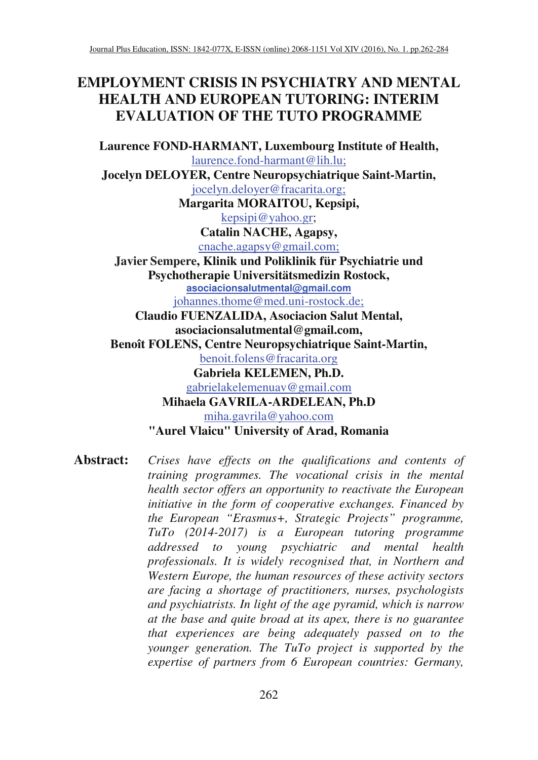# **EMPLOYMENT CRISIS IN PSYCHIATRY AND MENTAL HEALTH AND EUROPEAN TUTORING: INTERIM EVALUATION OF THE TUTO PROGRAMME**

**Laurence FOND-HARMANT, Luxembourg Institute of Health,**  laurence.fond-harmant@lih.lu;

**Jocelyn DELOYER, Centre Neuropsychiatrique Saint-Martin,**  jocelyn.deloyer@fracarita.org;

**Margarita MORAITOU, Kepsipi,**  kepsipi@yahoo.gr;

**Catalin NACHE, Agapsy,** 

cnache.agapsy@gmail.com;

**Javier Sempere, Klinik und Poliklinik für Psychiatrie und Psychotherapie Universitätsmedizin Rostock, asociacionsalutmental@gmail.com** johannes.thome@med.uni-rostock.de;

**Claudio FUENZALIDA, Asociacion Salut Mental, asociacionsalutmental@gmail.com, Benoît FOLENS, Centre Neuropsychiatrique Saint-Martin,**  benoit.folens@fracarita.org **Gabriela KELEMEN, Ph.D.**  gabrielakelemenuav@gmail.com **Mihaela GAVRILA-ARDELEAN, Ph.D**  miha.gavrila@yahoo.com **"Aurel Vlaicu" University of Arad, Romania** 

**Abstract:** *Crises have effects on the qualifications and contents of training programmes. The vocational crisis in the mental health sector offers an opportunity to reactivate the European initiative in the form of cooperative exchanges. Financed by the European "Erasmus+, Strategic Projects" programme, TuTo (2014-2017) is a European tutoring programme addressed to young psychiatric and mental health professionals. It is widely recognised that, in Northern and Western Europe, the human resources of these activity sectors are facing a shortage of practitioners, nurses, psychologists and psychiatrists. In light of the age pyramid, which is narrow at the base and quite broad at its apex, there is no guarantee that experiences are being adequately passed on to the younger generation. The TuTo project is supported by the expertise of partners from 6 European countries: Germany,*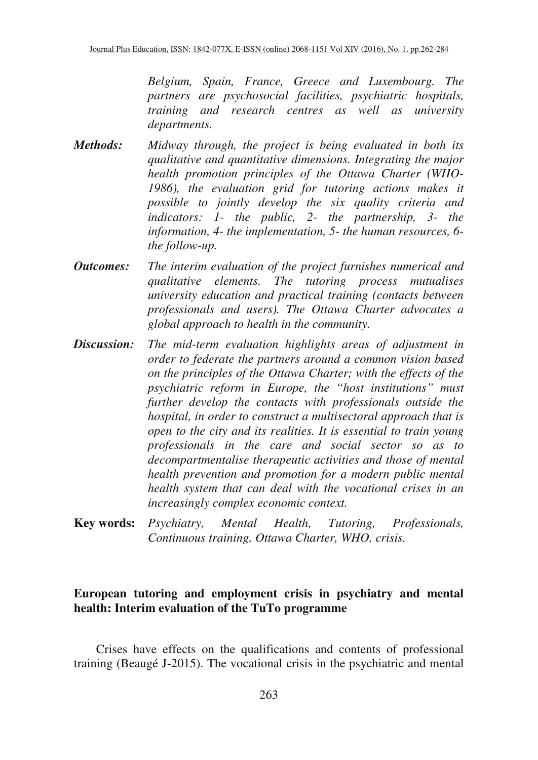*Belgium, Spain, France, Greece and Luxembourg. The partners are psychosocial facilities, psychiatric hospitals, training and research centres as well as university departments.* 

- *Methods: Midway through, the project is being evaluated in both its qualitative and quantitative dimensions. Integrating the major health promotion principles of the Ottawa Charter (WHO-1986), the evaluation grid for tutoring actions makes it possible to jointly develop the six quality criteria and indicators: 1- the public, 2- the partnership, 3- the information, 4- the implementation, 5- the human resources, 6 the follow-up.*
- *Outcomes: The interim evaluation of the project furnishes numerical and qualitative elements. The tutoring process mutualises university education and practical training (contacts between professionals and users). The Ottawa Charter advocates a global approach to health in the community.*
- *Discussion: The mid-term evaluation highlights areas of adjustment in order to federate the partners around a common vision based on the principles of the Ottawa Charter; with the effects of the psychiatric reform in Europe, the "host institutions" must further develop the contacts with professionals outside the hospital, in order to construct a multisectoral approach that is open to the city and its realities. It is essential to train young professionals in the care and social sector so as to decompartmentalise therapeutic activities and those of mental health prevention and promotion for a modern public mental health system that can deal with the vocational crises in an increasingly complex economic context.*
- **Key words:** *Psychiatry, Mental Health, Tutoring, Professionals, Continuous training, Ottawa Charter, WHO, crisis.*

### **European tutoring and employment crisis in psychiatry and mental health: Interim evaluation of the TuTo programme**

Crises have effects on the qualifications and contents of professional training (Beaugé J-2015). The vocational crisis in the psychiatric and mental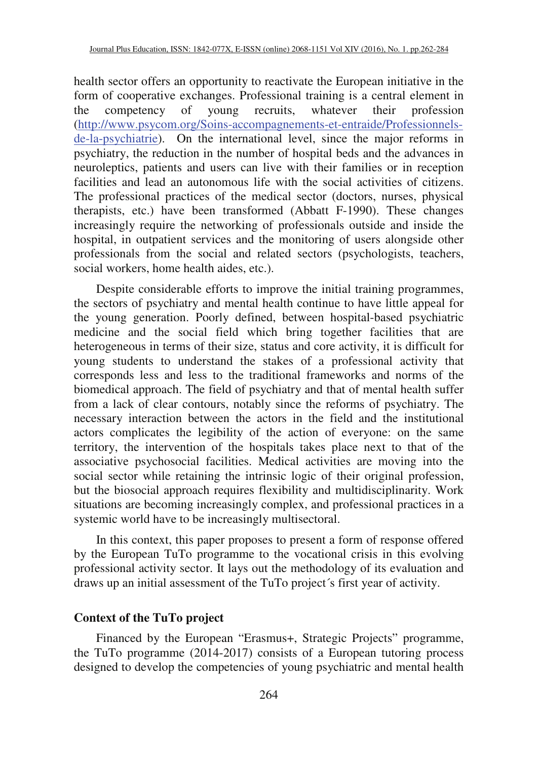health sector offers an opportunity to reactivate the European initiative in the form of cooperative exchanges. Professional training is a central element in the competency of young recruits, whatever their profession (http://www.psycom.org/Soins-accompagnements-et-entraide/Professionnelsde-la-psychiatrie). On the international level, since the major reforms in psychiatry, the reduction in the number of hospital beds and the advances in neuroleptics, patients and users can live with their families or in reception facilities and lead an autonomous life with the social activities of citizens. The professional practices of the medical sector (doctors, nurses, physical therapists, etc.) have been transformed (Abbatt F-1990). These changes increasingly require the networking of professionals outside and inside the hospital, in outpatient services and the monitoring of users alongside other professionals from the social and related sectors (psychologists, teachers, social workers, home health aides, etc.).

Despite considerable efforts to improve the initial training programmes, the sectors of psychiatry and mental health continue to have little appeal for the young generation. Poorly defined, between hospital-based psychiatric medicine and the social field which bring together facilities that are heterogeneous in terms of their size, status and core activity, it is difficult for young students to understand the stakes of a professional activity that corresponds less and less to the traditional frameworks and norms of the biomedical approach. The field of psychiatry and that of mental health suffer from a lack of clear contours, notably since the reforms of psychiatry. The necessary interaction between the actors in the field and the institutional actors complicates the legibility of the action of everyone: on the same territory, the intervention of the hospitals takes place next to that of the associative psychosocial facilities. Medical activities are moving into the social sector while retaining the intrinsic logic of their original profession, but the biosocial approach requires flexibility and multidisciplinarity. Work situations are becoming increasingly complex, and professional practices in a systemic world have to be increasingly multisectoral.

In this context, this paper proposes to present a form of response offered by the European TuTo programme to the vocational crisis in this evolving professional activity sector. It lays out the methodology of its evaluation and draws up an initial assessment of the TuTo project´s first year of activity.

#### **Context of the TuTo project**

Financed by the European "Erasmus+, Strategic Projects" programme, the TuTo programme (2014-2017) consists of a European tutoring process designed to develop the competencies of young psychiatric and mental health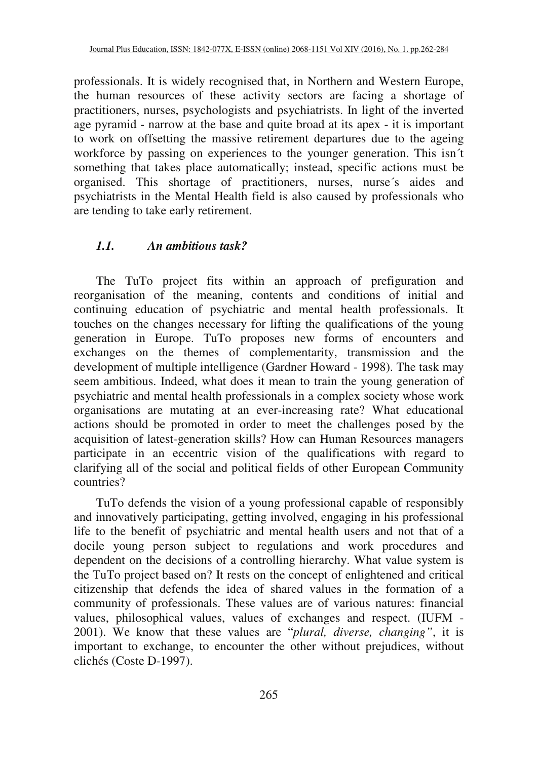professionals. It is widely recognised that, in Northern and Western Europe, the human resources of these activity sectors are facing a shortage of practitioners, nurses, psychologists and psychiatrists. In light of the inverted age pyramid - narrow at the base and quite broad at its apex - it is important to work on offsetting the massive retirement departures due to the ageing workforce by passing on experiences to the younger generation. This isn´t something that takes place automatically; instead, specific actions must be organised. This shortage of practitioners, nurses, nurse´s aides and psychiatrists in the Mental Health field is also caused by professionals who are tending to take early retirement.

# *1.1. An ambitious task?*

The TuTo project fits within an approach of prefiguration and reorganisation of the meaning, contents and conditions of initial and continuing education of psychiatric and mental health professionals. It touches on the changes necessary for lifting the qualifications of the young generation in Europe. TuTo proposes new forms of encounters and exchanges on the themes of complementarity, transmission and the development of multiple intelligence (Gardner Howard - 1998). The task may seem ambitious. Indeed, what does it mean to train the young generation of psychiatric and mental health professionals in a complex society whose work organisations are mutating at an ever-increasing rate? What educational actions should be promoted in order to meet the challenges posed by the acquisition of latest-generation skills? How can Human Resources managers participate in an eccentric vision of the qualifications with regard to clarifying all of the social and political fields of other European Community countries?

TuTo defends the vision of a young professional capable of responsibly and innovatively participating, getting involved, engaging in his professional life to the benefit of psychiatric and mental health users and not that of a docile young person subject to regulations and work procedures and dependent on the decisions of a controlling hierarchy. What value system is the TuTo project based on? It rests on the concept of enlightened and critical citizenship that defends the idea of shared values in the formation of a community of professionals. These values are of various natures: financial values, philosophical values, values of exchanges and respect. (IUFM - 2001). We know that these values are "*plural, diverse, changing"*, it is important to exchange, to encounter the other without prejudices, without clichés (Coste D-1997).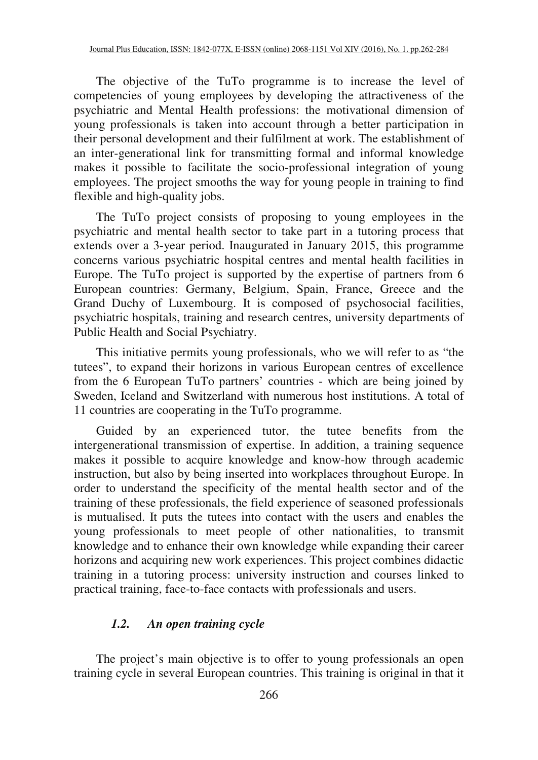The objective of the TuTo programme is to increase the level of competencies of young employees by developing the attractiveness of the psychiatric and Mental Health professions: the motivational dimension of young professionals is taken into account through a better participation in their personal development and their fulfilment at work. The establishment of an inter-generational link for transmitting formal and informal knowledge makes it possible to facilitate the socio-professional integration of young employees. The project smooths the way for young people in training to find flexible and high-quality jobs.

The TuTo project consists of proposing to young employees in the psychiatric and mental health sector to take part in a tutoring process that extends over a 3-year period. Inaugurated in January 2015, this programme concerns various psychiatric hospital centres and mental health facilities in Europe. The TuTo project is supported by the expertise of partners from 6 European countries: Germany, Belgium, Spain, France, Greece and the Grand Duchy of Luxembourg. It is composed of psychosocial facilities, psychiatric hospitals, training and research centres, university departments of Public Health and Social Psychiatry.

This initiative permits young professionals, who we will refer to as "the tutees", to expand their horizons in various European centres of excellence from the 6 European TuTo partners' countries - which are being joined by Sweden, Iceland and Switzerland with numerous host institutions. A total of 11 countries are cooperating in the TuTo programme.

Guided by an experienced tutor, the tutee benefits from the intergenerational transmission of expertise. In addition, a training sequence makes it possible to acquire knowledge and know-how through academic instruction, but also by being inserted into workplaces throughout Europe. In order to understand the specificity of the mental health sector and of the training of these professionals, the field experience of seasoned professionals is mutualised. It puts the tutees into contact with the users and enables the young professionals to meet people of other nationalities, to transmit knowledge and to enhance their own knowledge while expanding their career horizons and acquiring new work experiences. This project combines didactic training in a tutoring process: university instruction and courses linked to practical training, face-to-face contacts with professionals and users.

#### *1.2. An open training cycle*

The project's main objective is to offer to young professionals an open training cycle in several European countries. This training is original in that it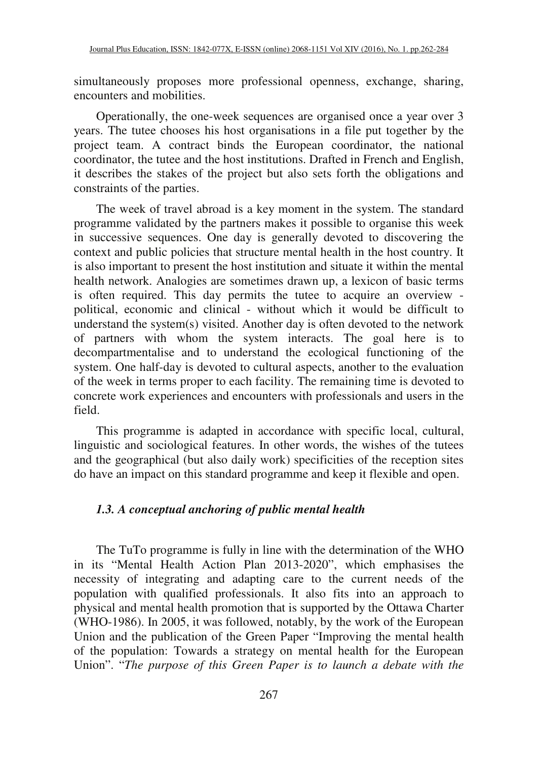simultaneously proposes more professional openness, exchange, sharing, encounters and mobilities.

Operationally, the one-week sequences are organised once a year over 3 years. The tutee chooses his host organisations in a file put together by the project team. A contract binds the European coordinator, the national coordinator, the tutee and the host institutions. Drafted in French and English, it describes the stakes of the project but also sets forth the obligations and constraints of the parties.

The week of travel abroad is a key moment in the system. The standard programme validated by the partners makes it possible to organise this week in successive sequences. One day is generally devoted to discovering the context and public policies that structure mental health in the host country. It is also important to present the host institution and situate it within the mental health network. Analogies are sometimes drawn up, a lexicon of basic terms is often required. This day permits the tutee to acquire an overview political, economic and clinical - without which it would be difficult to understand the system(s) visited. Another day is often devoted to the network of partners with whom the system interacts. The goal here is to decompartmentalise and to understand the ecological functioning of the system. One half-day is devoted to cultural aspects, another to the evaluation of the week in terms proper to each facility. The remaining time is devoted to concrete work experiences and encounters with professionals and users in the field.

This programme is adapted in accordance with specific local, cultural, linguistic and sociological features. In other words, the wishes of the tutees and the geographical (but also daily work) specificities of the reception sites do have an impact on this standard programme and keep it flexible and open.

#### *1.3. A conceptual anchoring of public mental health*

The TuTo programme is fully in line with the determination of the WHO in its "Mental Health Action Plan 2013-2020", which emphasises the necessity of integrating and adapting care to the current needs of the population with qualified professionals. It also fits into an approach to physical and mental health promotion that is supported by the Ottawa Charter (WHO-1986). In 2005, it was followed, notably, by the work of the European Union and the publication of the Green Paper "Improving the mental health of the population: Towards a strategy on mental health for the European Union". "*The purpose of this Green Paper is to launch a debate with the*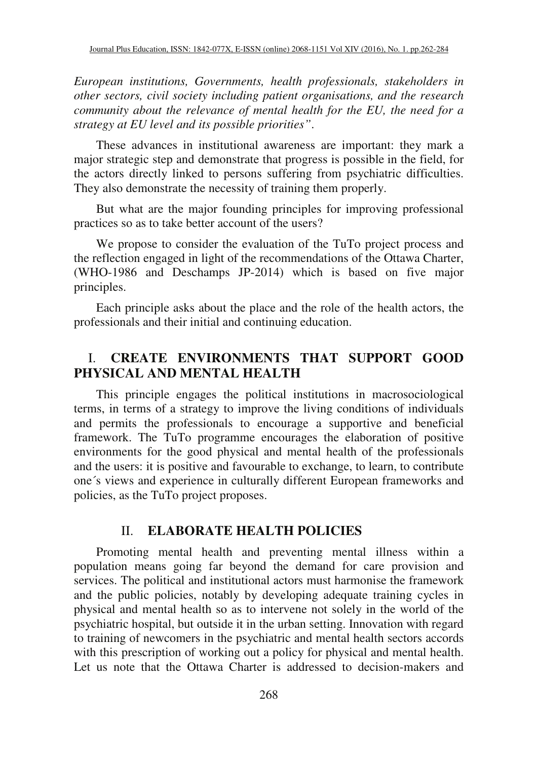*European institutions, Governments, health professionals, stakeholders in other sectors, civil society including patient organisations, and the research community about the relevance of mental health for the EU, the need for a strategy at EU level and its possible priorities"*.

These advances in institutional awareness are important: they mark a major strategic step and demonstrate that progress is possible in the field, for the actors directly linked to persons suffering from psychiatric difficulties. They also demonstrate the necessity of training them properly.

But what are the major founding principles for improving professional practices so as to take better account of the users?

We propose to consider the evaluation of the TuTo project process and the reflection engaged in light of the recommendations of the Ottawa Charter, (WHO-1986 and Deschamps JP-2014) which is based on five major principles.

Each principle asks about the place and the role of the health actors, the professionals and their initial and continuing education.

# I. **CREATE ENVIRONMENTS THAT SUPPORT GOOD PHYSICAL AND MENTAL HEALTH**

This principle engages the political institutions in macrosociological terms, in terms of a strategy to improve the living conditions of individuals and permits the professionals to encourage a supportive and beneficial framework. The TuTo programme encourages the elaboration of positive environments for the good physical and mental health of the professionals and the users: it is positive and favourable to exchange, to learn, to contribute one´s views and experience in culturally different European frameworks and policies, as the TuTo project proposes.

#### II. **ELABORATE HEALTH POLICIES**

Promoting mental health and preventing mental illness within a population means going far beyond the demand for care provision and services. The political and institutional actors must harmonise the framework and the public policies, notably by developing adequate training cycles in physical and mental health so as to intervene not solely in the world of the psychiatric hospital, but outside it in the urban setting. Innovation with regard to training of newcomers in the psychiatric and mental health sectors accords with this prescription of working out a policy for physical and mental health. Let us note that the Ottawa Charter is addressed to decision-makers and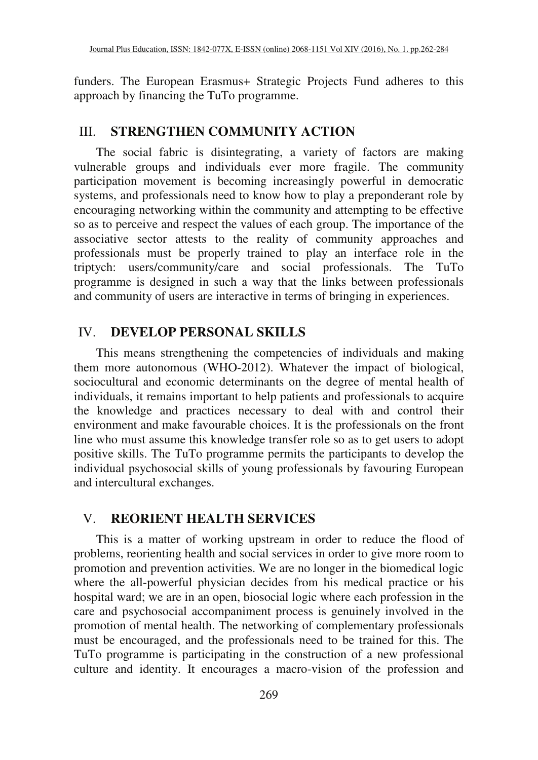funders. The European Erasmus+ Strategic Projects Fund adheres to this approach by financing the TuTo programme.

#### III. **STRENGTHEN COMMUNITY ACTION**

The social fabric is disintegrating, a variety of factors are making vulnerable groups and individuals ever more fragile. The community participation movement is becoming increasingly powerful in democratic systems, and professionals need to know how to play a preponderant role by encouraging networking within the community and attempting to be effective so as to perceive and respect the values of each group. The importance of the associative sector attests to the reality of community approaches and professionals must be properly trained to play an interface role in the triptych: users/community/care and social professionals. The TuTo programme is designed in such a way that the links between professionals and community of users are interactive in terms of bringing in experiences.

# IV. **DEVELOP PERSONAL SKILLS**

This means strengthening the competencies of individuals and making them more autonomous (WHO-2012). Whatever the impact of biological, sociocultural and economic determinants on the degree of mental health of individuals, it remains important to help patients and professionals to acquire the knowledge and practices necessary to deal with and control their environment and make favourable choices. It is the professionals on the front line who must assume this knowledge transfer role so as to get users to adopt positive skills. The TuTo programme permits the participants to develop the individual psychosocial skills of young professionals by favouring European and intercultural exchanges.

# V. **REORIENT HEALTH SERVICES**

This is a matter of working upstream in order to reduce the flood of problems, reorienting health and social services in order to give more room to promotion and prevention activities. We are no longer in the biomedical logic where the all-powerful physician decides from his medical practice or his hospital ward; we are in an open, biosocial logic where each profession in the care and psychosocial accompaniment process is genuinely involved in the promotion of mental health. The networking of complementary professionals must be encouraged, and the professionals need to be trained for this. The TuTo programme is participating in the construction of a new professional culture and identity. It encourages a macro-vision of the profession and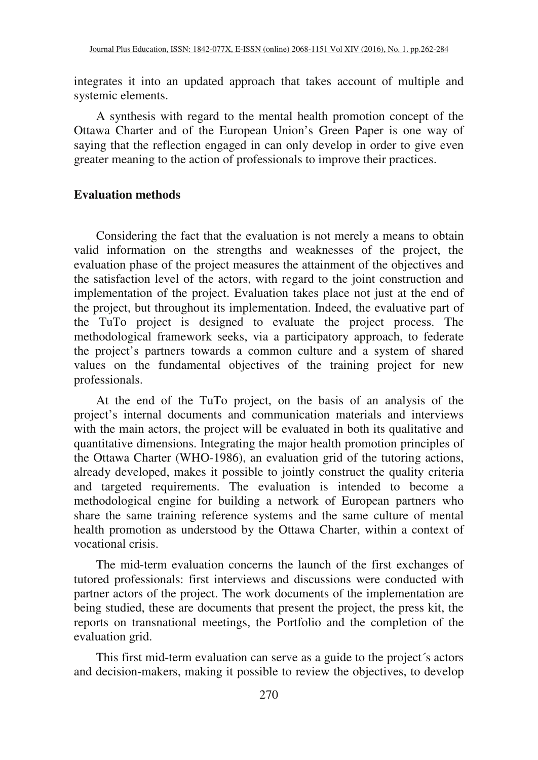integrates it into an updated approach that takes account of multiple and systemic elements.

A synthesis with regard to the mental health promotion concept of the Ottawa Charter and of the European Union's Green Paper is one way of saying that the reflection engaged in can only develop in order to give even greater meaning to the action of professionals to improve their practices.

#### **Evaluation methods**

Considering the fact that the evaluation is not merely a means to obtain valid information on the strengths and weaknesses of the project, the evaluation phase of the project measures the attainment of the objectives and the satisfaction level of the actors, with regard to the joint construction and implementation of the project. Evaluation takes place not just at the end of the project, but throughout its implementation. Indeed, the evaluative part of the TuTo project is designed to evaluate the project process. The methodological framework seeks, via a participatory approach, to federate the project's partners towards a common culture and a system of shared values on the fundamental objectives of the training project for new professionals.

At the end of the TuTo project, on the basis of an analysis of the project's internal documents and communication materials and interviews with the main actors, the project will be evaluated in both its qualitative and quantitative dimensions. Integrating the major health promotion principles of the Ottawa Charter (WHO-1986), an evaluation grid of the tutoring actions, already developed, makes it possible to jointly construct the quality criteria and targeted requirements. The evaluation is intended to become a methodological engine for building a network of European partners who share the same training reference systems and the same culture of mental health promotion as understood by the Ottawa Charter, within a context of vocational crisis.

The mid-term evaluation concerns the launch of the first exchanges of tutored professionals: first interviews and discussions were conducted with partner actors of the project. The work documents of the implementation are being studied, these are documents that present the project, the press kit, the reports on transnational meetings, the Portfolio and the completion of the evaluation grid.

This first mid-term evaluation can serve as a guide to the project´s actors and decision-makers, making it possible to review the objectives, to develop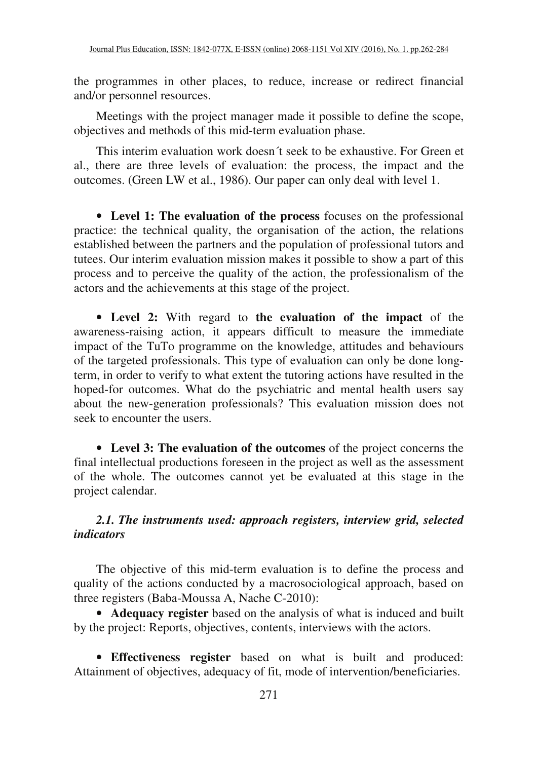the programmes in other places, to reduce, increase or redirect financial and/or personnel resources.

Meetings with the project manager made it possible to define the scope, objectives and methods of this mid-term evaluation phase.

This interim evaluation work doesn´t seek to be exhaustive. For Green et al., there are three levels of evaluation: the process, the impact and the outcomes. (Green LW et al., 1986). Our paper can only deal with level 1.

• **Level 1: The evaluation of the process** focuses on the professional practice: the technical quality, the organisation of the action, the relations established between the partners and the population of professional tutors and tutees. Our interim evaluation mission makes it possible to show a part of this process and to perceive the quality of the action, the professionalism of the actors and the achievements at this stage of the project.

• **Level 2:** With regard to **the evaluation of the impact** of the awareness-raising action, it appears difficult to measure the immediate impact of the TuTo programme on the knowledge, attitudes and behaviours of the targeted professionals. This type of evaluation can only be done longterm, in order to verify to what extent the tutoring actions have resulted in the hoped-for outcomes. What do the psychiatric and mental health users say about the new-generation professionals? This evaluation mission does not seek to encounter the users.

• **Level 3: The evaluation of the outcomes** of the project concerns the final intellectual productions foreseen in the project as well as the assessment of the whole. The outcomes cannot yet be evaluated at this stage in the project calendar.

# *2.1. The instruments used: approach registers, interview grid, selected indicators*

The objective of this mid-term evaluation is to define the process and quality of the actions conducted by a macrosociological approach, based on three registers (Baba-Moussa A, Nache C-2010):

• **Adequacy register** based on the analysis of what is induced and built by the project: Reports, objectives, contents, interviews with the actors.

• **Effectiveness register** based on what is built and produced: Attainment of objectives, adequacy of fit, mode of intervention/beneficiaries.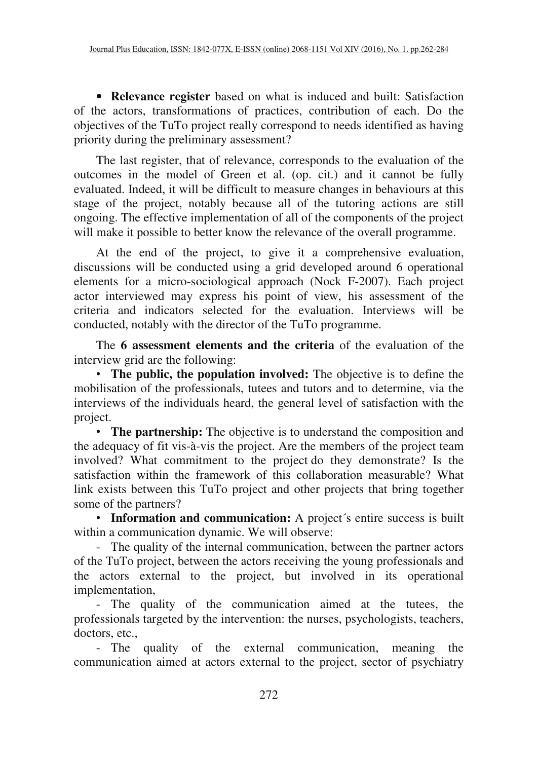• **Relevance register** based on what is induced and built: Satisfaction of the actors, transformations of practices, contribution of each. Do the objectives of the TuTo project really correspond to needs identified as having priority during the preliminary assessment?

The last register, that of relevance, corresponds to the evaluation of the outcomes in the model of Green et al. (op. cit.) and it cannot be fully evaluated. Indeed, it will be difficult to measure changes in behaviours at this stage of the project, notably because all of the tutoring actions are still ongoing. The effective implementation of all of the components of the project will make it possible to better know the relevance of the overall programme.

At the end of the project, to give it a comprehensive evaluation, discussions will be conducted using a grid developed around 6 operational elements for a micro-sociological approach (Nock F-2007). Each project actor interviewed may express his point of view, his assessment of the criteria and indicators selected for the evaluation. Interviews will be conducted, notably with the director of the TuTo programme.

The **6 assessment elements and the criteria** of the evaluation of the interview grid are the following:

• **The public, the population involved:** The objective is to define the mobilisation of the professionals, tutees and tutors and to determine, via the interviews of the individuals heard, the general level of satisfaction with the project.

• **The partnership:** The objective is to understand the composition and the adequacy of fit vis-à-vis the project. Are the members of the project team involved? What commitment to the project do they demonstrate? Is the satisfaction within the framework of this collaboration measurable? What link exists between this TuTo project and other projects that bring together some of the partners?

• **Information and communication:** A project's entire success is built within a communication dynamic. We will observe:

- The quality of the internal communication, between the partner actors of the TuTo project, between the actors receiving the young professionals and the actors external to the project, but involved in its operational implementation,

- The quality of the communication aimed at the tutees, the professionals targeted by the intervention: the nurses, psychologists, teachers, doctors, etc.,

- The quality of the external communication, meaning the communication aimed at actors external to the project, sector of psychiatry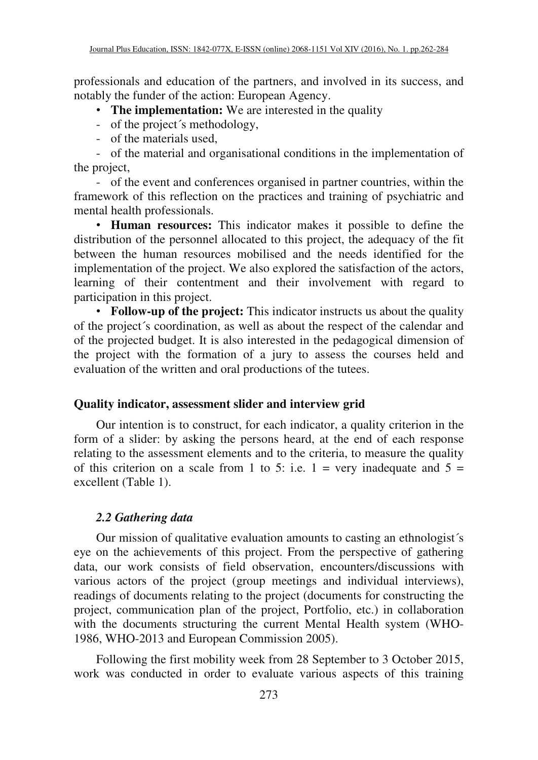professionals and education of the partners, and involved in its success, and notably the funder of the action: European Agency.

# • **The implementation:** We are interested in the quality

- of the project's methodology,
- of the materials used,

- of the material and organisational conditions in the implementation of the project,

- of the event and conferences organised in partner countries, within the framework of this reflection on the practices and training of psychiatric and mental health professionals.

• **Human resources:** This indicator makes it possible to define the distribution of the personnel allocated to this project, the adequacy of the fit between the human resources mobilised and the needs identified for the implementation of the project. We also explored the satisfaction of the actors, learning of their contentment and their involvement with regard to participation in this project.

• **Follow-up of the project:** This indicator instructs us about the quality of the project´s coordination, as well as about the respect of the calendar and of the projected budget. It is also interested in the pedagogical dimension of the project with the formation of a jury to assess the courses held and evaluation of the written and oral productions of the tutees.

# **Quality indicator, assessment slider and interview grid**

Our intention is to construct, for each indicator, a quality criterion in the form of a slider: by asking the persons heard, at the end of each response relating to the assessment elements and to the criteria, to measure the quality of this criterion on a scale from 1 to 5: i.e.  $1 = \text{very inadequate and } 5 =$ excellent (Table 1).

# *2.2 Gathering data*

Our mission of qualitative evaluation amounts to casting an ethnologist´s eye on the achievements of this project. From the perspective of gathering data, our work consists of field observation, encounters/discussions with various actors of the project (group meetings and individual interviews), readings of documents relating to the project (documents for constructing the project, communication plan of the project, Portfolio, etc.) in collaboration with the documents structuring the current Mental Health system (WHO-1986, WHO-2013 and European Commission 2005).

Following the first mobility week from 28 September to 3 October 2015, work was conducted in order to evaluate various aspects of this training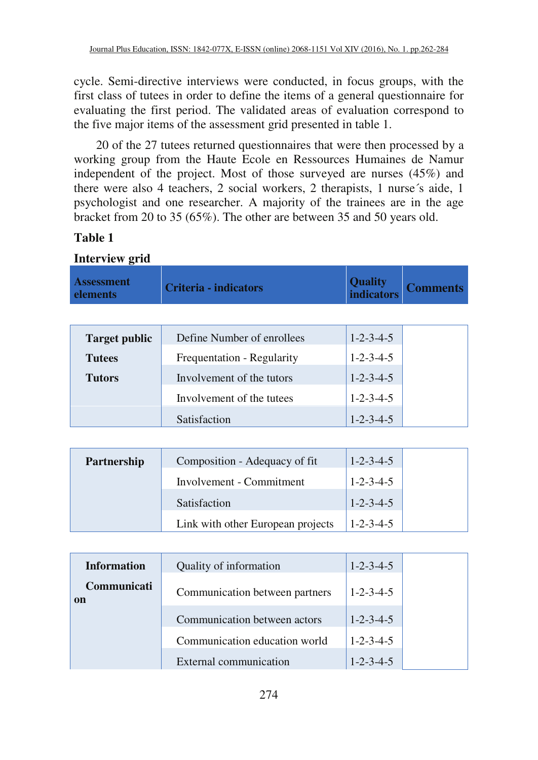cycle. Semi-directive interviews were conducted, in focus groups, with the first class of tutees in order to define the items of a general questionnaire for evaluating the first period. The validated areas of evaluation correspond to the five major items of the assessment grid presented in table 1.

20 of the 27 tutees returned questionnaires that were then processed by a working group from the Haute Ecole en Ressources Humaines de Namur independent of the project. Most of those surveyed are nurses (45%) and there were also 4 teachers, 2 social workers, 2 therapists, 1 nurse´s aide, 1 psychologist and one researcher. A majority of the trainees are in the age bracket from 20 to 35 (65%). The other are between 35 and 50 years old.

# **Table 1**

| <b>Interview</b> grid         |                                   |                                     |                 |
|-------------------------------|-----------------------------------|-------------------------------------|-----------------|
| <b>Assessment</b><br>elements | <b>Criteria - indicators</b>      | <b>Quality</b><br><b>indicators</b> | <b>Comments</b> |
|                               |                                   |                                     |                 |
| <b>Target public</b>          | Define Number of enrollees        | $1 - 2 - 3 - 4 - 5$                 |                 |
| <b>Tutees</b>                 | Frequentation - Regularity        | $1 - 2 - 3 - 4 - 5$                 |                 |
| <b>Tutors</b>                 | Involvement of the tutors         | $1 - 2 - 3 - 4 - 5$                 |                 |
|                               | Involvement of the tutees         | $1 - 2 - 3 - 4 - 5$                 |                 |
|                               | Satisfaction                      | $1 - 2 - 3 - 4 - 5$                 |                 |
|                               |                                   |                                     |                 |
| Partnership                   | Composition - Adequacy of fit     | $1 - 2 - 3 - 4 - 5$                 |                 |
|                               | Involvement - Commitment          | $1 - 2 - 3 - 4 - 5$                 |                 |
|                               | Satisfaction                      | $1 - 2 - 3 - 4 - 5$                 |                 |
|                               | Link with other European projects | $1 - 2 - 3 - 4 - 5$                 |                 |
|                               |                                   |                                     |                 |

| <b>Information</b>           | Quality of information         | $1 - 2 - 3 - 4 - 5$ |
|------------------------------|--------------------------------|---------------------|
| Communicati<br><sub>on</sub> | Communication between partners | $1 - 2 - 3 - 4 - 5$ |
|                              | Communication between actors   | $1 - 2 - 3 - 4 - 5$ |
|                              | Communication education world  | $1 - 2 - 3 - 4 - 5$ |
|                              | External communication         | $1 - 2 - 3 - 4 - 5$ |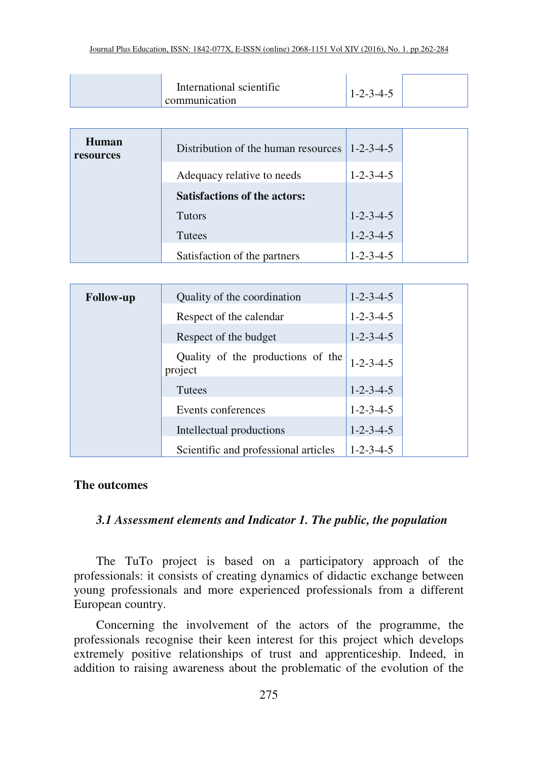| International scientific<br>$1-2-3-4-5$<br>communication |
|----------------------------------------------------------|
|----------------------------------------------------------|

| Human<br>resources | Distribution of the human resources | $1 - 2 - 3 - 4 - 5$ |  |
|--------------------|-------------------------------------|---------------------|--|
|                    | Adequacy relative to needs          | $1 - 2 - 3 - 4 - 5$ |  |
|                    | <b>Satisfactions of the actors:</b> |                     |  |
|                    | <b>Tutors</b>                       | $1 - 2 - 3 - 4 - 5$ |  |
|                    | Tutees                              | $1 - 2 - 3 - 4 - 5$ |  |
|                    | Satisfaction of the partners        | $1 - 2 - 3 - 4 - 5$ |  |

| <b>Follow-up</b> | Quality of the coordination                  | $1 - 2 - 3 - 4 - 5$ |
|------------------|----------------------------------------------|---------------------|
|                  | Respect of the calendar                      | $1 - 2 - 3 - 4 - 5$ |
|                  | Respect of the budget                        | $1 - 2 - 3 - 4 - 5$ |
|                  | Quality of the productions of the<br>project | $1 - 2 - 3 - 4 - 5$ |
|                  | Tutees                                       | $1 - 2 - 3 - 4 - 5$ |
|                  | Events conferences                           | $1 - 2 - 3 - 4 - 5$ |
|                  | Intellectual productions                     | $1 - 2 - 3 - 4 - 5$ |
|                  | Scientific and professional articles         | $1 - 2 - 3 - 4 - 5$ |

#### **The outcomes**

### *3.1 Assessment elements and Indicator 1. The public, the population*

The TuTo project is based on a participatory approach of the professionals: it consists of creating dynamics of didactic exchange between young professionals and more experienced professionals from a different European country.

Concerning the involvement of the actors of the programme, the professionals recognise their keen interest for this project which develops extremely positive relationships of trust and apprenticeship. Indeed, in addition to raising awareness about the problematic of the evolution of the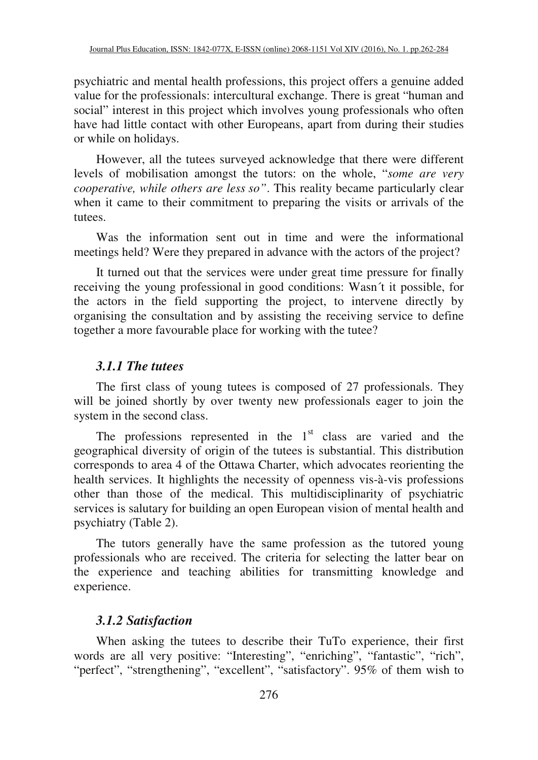psychiatric and mental health professions, this project offers a genuine added value for the professionals: intercultural exchange. There is great "human and social" interest in this project which involves young professionals who often have had little contact with other Europeans, apart from during their studies or while on holidays.

However, all the tutees surveyed acknowledge that there were different levels of mobilisation amongst the tutors: on the whole, "*some are very cooperative, while others are less so"*. This reality became particularly clear when it came to their commitment to preparing the visits or arrivals of the tutees.

Was the information sent out in time and were the informational meetings held? Were they prepared in advance with the actors of the project?

It turned out that the services were under great time pressure for finally receiving the young professional in good conditions: Wasn´t it possible, for the actors in the field supporting the project, to intervene directly by organising the consultation and by assisting the receiving service to define together a more favourable place for working with the tutee?

# *3.1.1 The tutees*

The first class of young tutees is composed of 27 professionals. They will be joined shortly by over twenty new professionals eager to join the system in the second class.

The professions represented in the  $1<sup>st</sup>$  class are varied and the geographical diversity of origin of the tutees is substantial. This distribution corresponds to area 4 of the Ottawa Charter, which advocates reorienting the health services. It highlights the necessity of openness vis-à-vis professions other than those of the medical. This multidisciplinarity of psychiatric services is salutary for building an open European vision of mental health and psychiatry (Table 2).

The tutors generally have the same profession as the tutored young professionals who are received. The criteria for selecting the latter bear on the experience and teaching abilities for transmitting knowledge and experience.

# *3.1.2 Satisfaction*

When asking the tutees to describe their TuTo experience, their first words are all very positive: "Interesting", "enriching", "fantastic", "rich", "perfect", "strengthening", "excellent", "satisfactory". 95% of them wish to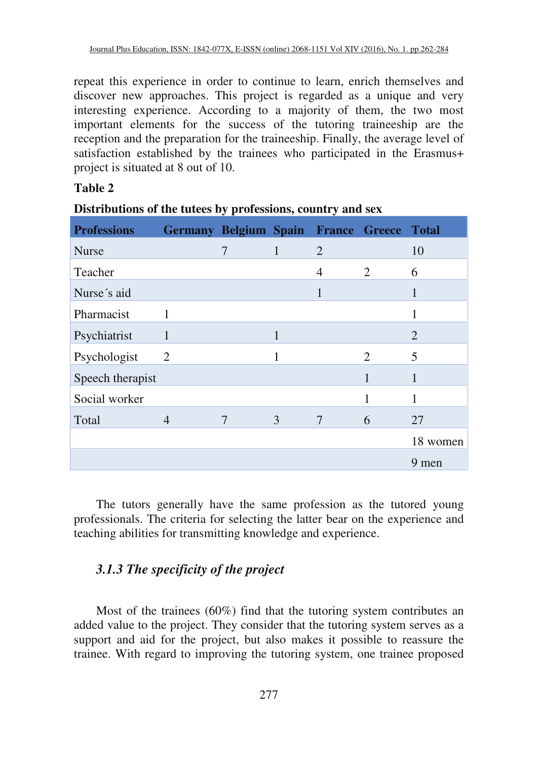repeat this experience in order to continue to learn, enrich themselves and discover new approaches. This project is regarded as a unique and very interesting experience. According to a majority of them, the two most important elements for the success of the tutoring traineeship are the reception and the preparation for the traineeship. Finally, the average level of satisfaction established by the trainees who participated in the Erasmus+ project is situated at 8 out of 10.

### **Table 2**

| <b>Professions</b> | Germany Belgium Spain France Greece Total |                |              |   |                |                |
|--------------------|-------------------------------------------|----------------|--------------|---|----------------|----------------|
| <b>Nurse</b>       |                                           | $\overline{7}$ | $\mathbf{1}$ | 2 |                | 10             |
| Teacher            |                                           |                |              | 4 | $\overline{2}$ | 6              |
| Nurse's aid        |                                           |                |              | 1 |                |                |
| Pharmacist         | 1                                         |                |              |   |                |                |
| Psychiatrist       | 1                                         |                | 1            |   |                | $\overline{2}$ |
| Psychologist       | 2                                         |                | 1            |   | $\mathfrak{D}$ | 5              |
| Speech therapist   |                                           |                |              |   | 1              | 1              |
| Social worker      |                                           |                |              |   |                |                |
| Total              | 4                                         |                | 3            | 7 | 6              | 27             |
|                    |                                           |                |              |   |                | 18 women       |
|                    |                                           |                |              |   |                | 9 men          |

| Distributions of the tutees by professions, country and sex |  |  |  |
|-------------------------------------------------------------|--|--|--|
|                                                             |  |  |  |

The tutors generally have the same profession as the tutored young professionals. The criteria for selecting the latter bear on the experience and teaching abilities for transmitting knowledge and experience.

# *3.1.3 The specificity of the project*

Most of the trainees (60%) find that the tutoring system contributes an added value to the project. They consider that the tutoring system serves as a support and aid for the project, but also makes it possible to reassure the trainee. With regard to improving the tutoring system, one trainee proposed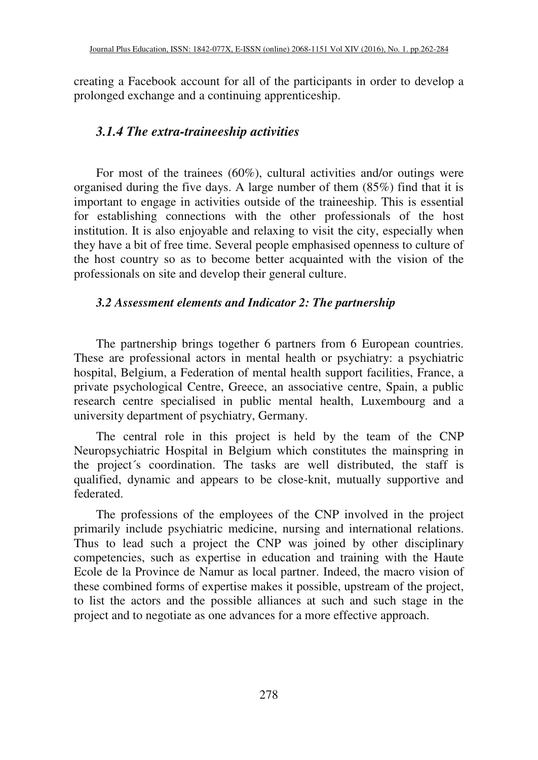creating a Facebook account for all of the participants in order to develop a prolonged exchange and a continuing apprenticeship.

# *3.1.4 The extra-traineeship activities*

For most of the trainees (60%), cultural activities and/or outings were organised during the five days. A large number of them (85%) find that it is important to engage in activities outside of the traineeship. This is essential for establishing connections with the other professionals of the host institution. It is also enjoyable and relaxing to visit the city, especially when they have a bit of free time. Several people emphasised openness to culture of the host country so as to become better acquainted with the vision of the professionals on site and develop their general culture.

# *3.2 Assessment elements and Indicator 2: The partnership*

The partnership brings together 6 partners from 6 European countries. These are professional actors in mental health or psychiatry: a psychiatric hospital, Belgium, a Federation of mental health support facilities, France, a private psychological Centre, Greece, an associative centre, Spain, a public research centre specialised in public mental health, Luxembourg and a university department of psychiatry, Germany.

The central role in this project is held by the team of the CNP Neuropsychiatric Hospital in Belgium which constitutes the mainspring in the project´s coordination. The tasks are well distributed, the staff is qualified, dynamic and appears to be close-knit, mutually supportive and federated.

The professions of the employees of the CNP involved in the project primarily include psychiatric medicine, nursing and international relations. Thus to lead such a project the CNP was joined by other disciplinary competencies, such as expertise in education and training with the Haute Ecole de la Province de Namur as local partner. Indeed, the macro vision of these combined forms of expertise makes it possible, upstream of the project, to list the actors and the possible alliances at such and such stage in the project and to negotiate as one advances for a more effective approach.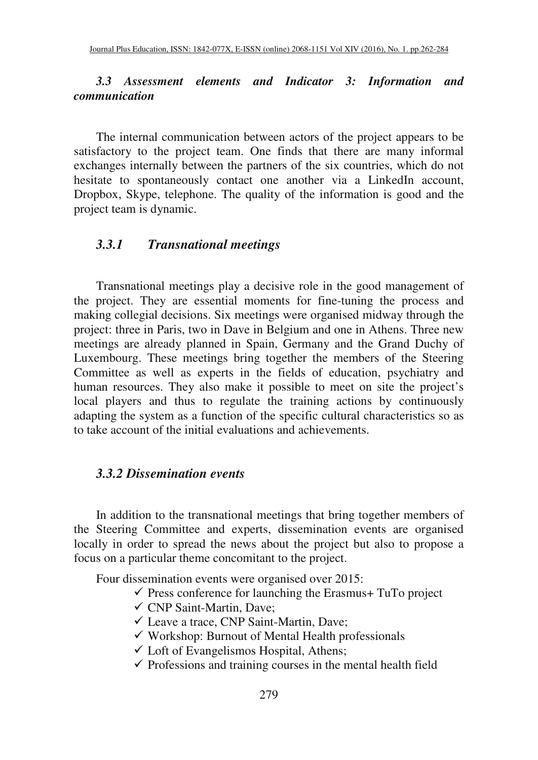## *3.3 Assessment elements and Indicator 3: Information and communication*

The internal communication between actors of the project appears to be satisfactory to the project team. One finds that there are many informal exchanges internally between the partners of the six countries, which do not hesitate to spontaneously contact one another via a LinkedIn account, Dropbox, Skype, telephone. The quality of the information is good and the project team is dynamic.

#### *3.3.1 Transnational meetings*

Transnational meetings play a decisive role in the good management of the project. They are essential moments for fine-tuning the process and making collegial decisions. Six meetings were organised midway through the project: three in Paris, two in Dave in Belgium and one in Athens. Three new meetings are already planned in Spain, Germany and the Grand Duchy of Luxembourg. These meetings bring together the members of the Steering Committee as well as experts in the fields of education, psychiatry and human resources. They also make it possible to meet on site the project's local players and thus to regulate the training actions by continuously adapting the system as a function of the specific cultural characteristics so as to take account of the initial evaluations and achievements.

#### *3.3.2 Dissemination events*

In addition to the transnational meetings that bring together members of the Steering Committee and experts, dissemination events are organised locally in order to spread the news about the project but also to propose a focus on a particular theme concomitant to the project.

Four dissemination events were organised over 2015:

- $\checkmark$  Press conference for launching the Erasmus+ TuTo project
- $\checkmark$  CNP Saint-Martin, Dave:
- $\checkmark$  Leave a trace, CNP Saint-Martin, Dave;
- $\checkmark$  Workshop: Burnout of Mental Health professionals
- $\checkmark$  Loft of Evangelismos Hospital, Athens;
- $\checkmark$  Professions and training courses in the mental health field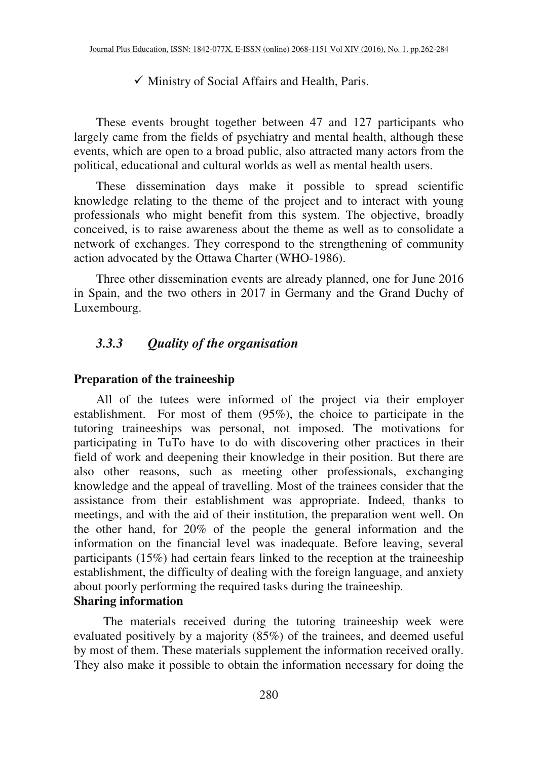#### $\checkmark$  Ministry of Social Affairs and Health, Paris.

These events brought together between 47 and 127 participants who largely came from the fields of psychiatry and mental health, although these events, which are open to a broad public, also attracted many actors from the political, educational and cultural worlds as well as mental health users.

These dissemination days make it possible to spread scientific knowledge relating to the theme of the project and to interact with young professionals who might benefit from this system. The objective, broadly conceived, is to raise awareness about the theme as well as to consolidate a network of exchanges. They correspond to the strengthening of community action advocated by the Ottawa Charter (WHO-1986).

Three other dissemination events are already planned, one for June 2016 in Spain, and the two others in 2017 in Germany and the Grand Duchy of Luxembourg.

# *3.3.3 Quality of the organisation*

#### **Preparation of the traineeship**

All of the tutees were informed of the project via their employer establishment. For most of them (95%), the choice to participate in the tutoring traineeships was personal, not imposed. The motivations for participating in TuTo have to do with discovering other practices in their field of work and deepening their knowledge in their position. But there are also other reasons, such as meeting other professionals, exchanging knowledge and the appeal of travelling. Most of the trainees consider that the assistance from their establishment was appropriate. Indeed, thanks to meetings, and with the aid of their institution, the preparation went well. On the other hand, for 20% of the people the general information and the information on the financial level was inadequate. Before leaving, several participants (15%) had certain fears linked to the reception at the traineeship establishment, the difficulty of dealing with the foreign language, and anxiety about poorly performing the required tasks during the traineeship. **Sharing information** 

The materials received during the tutoring traineeship week were evaluated positively by a majority (85%) of the trainees, and deemed useful by most of them. These materials supplement the information received orally. They also make it possible to obtain the information necessary for doing the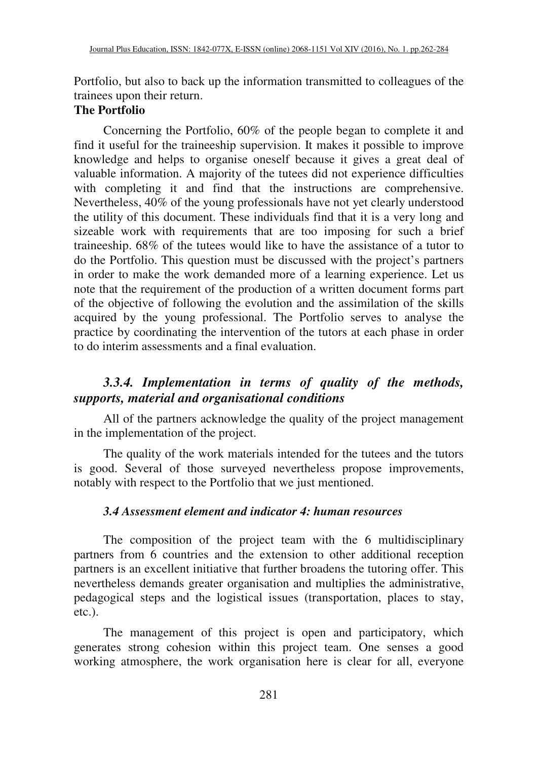Portfolio, but also to back up the information transmitted to colleagues of the trainees upon their return.

### **The Portfolio**

Concerning the Portfolio, 60% of the people began to complete it and find it useful for the traineeship supervision. It makes it possible to improve knowledge and helps to organise oneself because it gives a great deal of valuable information. A majority of the tutees did not experience difficulties with completing it and find that the instructions are comprehensive. Nevertheless, 40% of the young professionals have not yet clearly understood the utility of this document. These individuals find that it is a very long and sizeable work with requirements that are too imposing for such a brief traineeship. 68% of the tutees would like to have the assistance of a tutor to do the Portfolio. This question must be discussed with the project's partners in order to make the work demanded more of a learning experience. Let us note that the requirement of the production of a written document forms part of the objective of following the evolution and the assimilation of the skills acquired by the young professional. The Portfolio serves to analyse the practice by coordinating the intervention of the tutors at each phase in order to do interim assessments and a final evaluation.

# *3.3.4. Implementation in terms of quality of the methods, supports, material and organisational conditions*

All of the partners acknowledge the quality of the project management in the implementation of the project.

The quality of the work materials intended for the tutees and the tutors is good. Several of those surveyed nevertheless propose improvements, notably with respect to the Portfolio that we just mentioned.

# *3.4 Assessment element and indicator 4: human resources*

The composition of the project team with the 6 multidisciplinary partners from 6 countries and the extension to other additional reception partners is an excellent initiative that further broadens the tutoring offer. This nevertheless demands greater organisation and multiplies the administrative, pedagogical steps and the logistical issues (transportation, places to stay, etc.).

The management of this project is open and participatory, which generates strong cohesion within this project team. One senses a good working atmosphere, the work organisation here is clear for all, everyone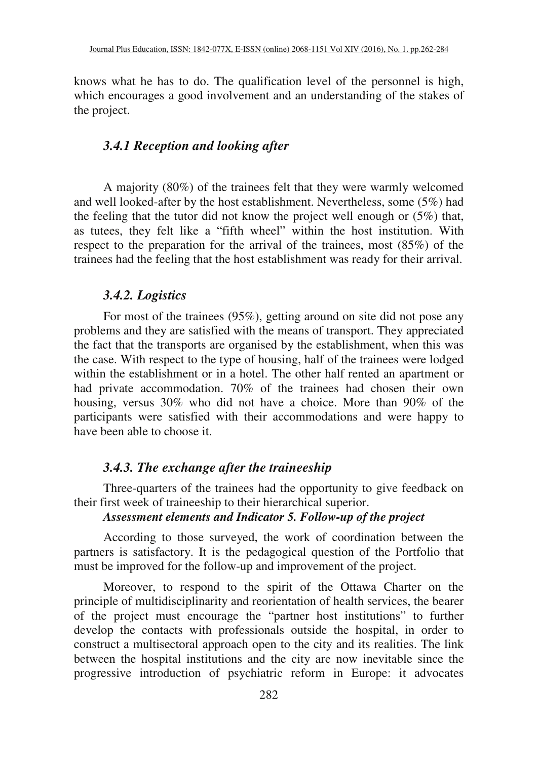knows what he has to do. The qualification level of the personnel is high, which encourages a good involvement and an understanding of the stakes of the project.

### *3.4.1 Reception and looking after*

A majority (80%) of the trainees felt that they were warmly welcomed and well looked-after by the host establishment. Nevertheless, some (5%) had the feeling that the tutor did not know the project well enough or (5%) that, as tutees, they felt like a "fifth wheel" within the host institution. With respect to the preparation for the arrival of the trainees, most (85%) of the trainees had the feeling that the host establishment was ready for their arrival.

#### *3.4.2. Logistics*

For most of the trainees (95%), getting around on site did not pose any problems and they are satisfied with the means of transport. They appreciated the fact that the transports are organised by the establishment, when this was the case. With respect to the type of housing, half of the trainees were lodged within the establishment or in a hotel. The other half rented an apartment or had private accommodation. 70% of the trainees had chosen their own housing, versus 30% who did not have a choice. More than 90% of the participants were satisfied with their accommodations and were happy to have been able to choose it.

### *3.4.3. The exchange after the traineeship*

Three-quarters of the trainees had the opportunity to give feedback on their first week of traineeship to their hierarchical superior.

#### *Assessment elements and Indicator 5. Follow-up of the project*

According to those surveyed, the work of coordination between the partners is satisfactory. It is the pedagogical question of the Portfolio that must be improved for the follow-up and improvement of the project.

Moreover, to respond to the spirit of the Ottawa Charter on the principle of multidisciplinarity and reorientation of health services, the bearer of the project must encourage the "partner host institutions" to further develop the contacts with professionals outside the hospital, in order to construct a multisectoral approach open to the city and its realities. The link between the hospital institutions and the city are now inevitable since the progressive introduction of psychiatric reform in Europe: it advocates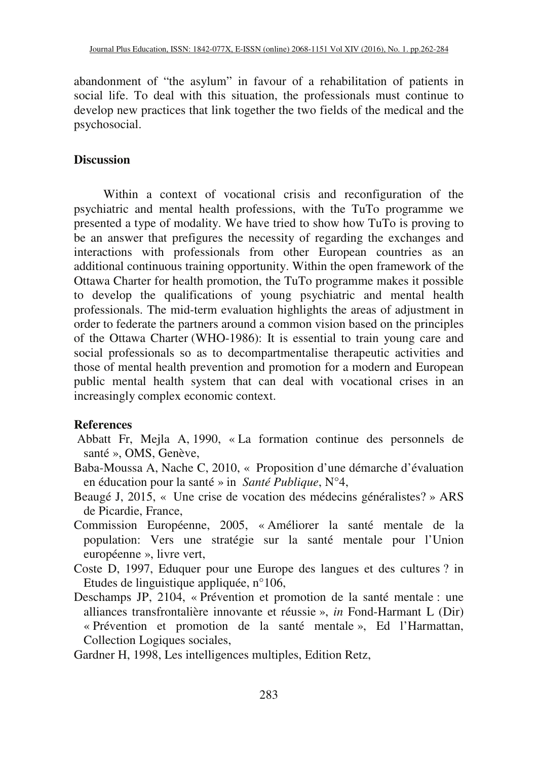abandonment of "the asylum" in favour of a rehabilitation of patients in social life. To deal with this situation, the professionals must continue to develop new practices that link together the two fields of the medical and the psychosocial.

## **Discussion**

Within a context of vocational crisis and reconfiguration of the psychiatric and mental health professions, with the TuTo programme we presented a type of modality. We have tried to show how TuTo is proving to be an answer that prefigures the necessity of regarding the exchanges and interactions with professionals from other European countries as an additional continuous training opportunity. Within the open framework of the Ottawa Charter for health promotion, the TuTo programme makes it possible to develop the qualifications of young psychiatric and mental health professionals. The mid-term evaluation highlights the areas of adjustment in order to federate the partners around a common vision based on the principles of the Ottawa Charter (WHO-1986): It is essential to train young care and social professionals so as to decompartmentalise therapeutic activities and those of mental health prevention and promotion for a modern and European public mental health system that can deal with vocational crises in an increasingly complex economic context.

# **References**

- Abbatt Fr, Mejla A, 1990, « La formation continue des personnels de santé », OMS, Genève,
- Baba-Moussa A, Nache C, 2010, « Proposition d'une démarche d'évaluation en éducation pour la santé » in *Santé Publique*, N°4,
- Beaugé J, 2015, « Une crise de vocation des médecins généralistes? » ARS de Picardie, France,
- Commission Européenne, 2005, « Améliorer la santé mentale de la population: Vers une stratégie sur la santé mentale pour l'Union européenne », livre vert,
- Coste D, 1997, Eduquer pour une Europe des langues et des cultures ? in Etudes de linguistique appliquée, n°106,
- Deschamps JP, 2104, « Prévention et promotion de la santé mentale : une alliances transfrontalière innovante et réussie », *in* Fond-Harmant L (Dir) « Prévention et promotion de la santé mentale », Ed l'Harmattan, Collection Logiques sociales,
- Gardner H, 1998, Les intelligences multiples, Edition Retz,